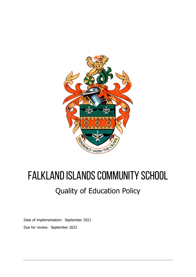

# Falkland Islands Community School Quality of Education Policy

Date of implementation: September 2021 Due for review: September 2022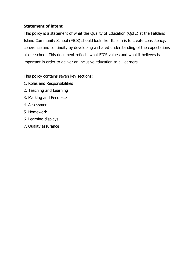### Statement of intent

This policy is a statement of what the Quality of Education (QofE) at the Falkland Island Community School (FICS) should look like. Its aim is to create consistency, coherence and continuity by developing a shared understanding of the expectations at our school. This document reflects what FICS values and what it believes is important in order to deliver an inclusive education to all learners.

This policy contains seven key sections:

- 1. Roles and Responsibilities
- 2. Teaching and Learning
- 3. Marking and Feedback
- 4. Assessment
- 5. Homework
- 6. Learning displays
- 7. Quality assurance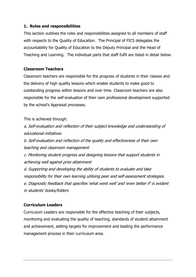#### 1. Roles and responsibilities

This section outlines the roles and responsibilities assigned to all members of staff with respects to the Quality of Education. The Principal of FICS delegates the accountability for Quality of Education to the Deputy Principal and the Head of Teaching and Learning. The individual parts that staff fulfil are listed in detail below.

#### Classroom Teachers

Classroom teachers are responsible for the progress of students in their classes and the delivery of high quality lessons which enable students to make good to outstanding progress within lessons and over time. Classroom teachers are also responsible for the self-evaluation of their own professional development supported by the school's Appraisal processes.

#### This is achieved through:

a. Self-evaluation and reflection of their subject knowledge and understanding of educational initiatives b. Self-evaluation and reflection of the quality and effectiveness of their own teaching and classroom management c. Monitoring student progress and designing lessons that support students in achieving well against prior attainment d. Supporting and developing the ability of students to evaluate and take responsibility for their own learning utilising peer and self-assessment strategies. e. Diagnostic feedback that specifies 'what went well' and 'even better if' is evident in students' books/folders

#### Curriculum Leaders

Curriculum Leaders are responsible for the effective teaching of their subjects, monitoring and evaluating the quality of teaching, standards of student attainment and achievement, setting targets for improvement and leading the performance management process in their curriculum area.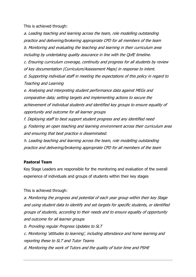This is achieved through:

a. Leading teaching and learning across the team, role modelling outstanding practice and delivering/brokering appropriate CPD for all members of the team b. Monitoring and evaluating the teaching and learning in their curriculum area including by undertaking quality assurance in line with the QofE timeline. c. Ensuring curriculum coverage, continuity and progress for all students by review of key documentation (Curriculum/Assessment Maps) in response to intent. d. Supporting individual staff in meeting the expectations of this policy in regard to Teaching and Learning

e. Analysing and interpreting student performance data against MEGs and comparative data; setting targets and implementing actions to secure the achievement of individual students and identified key groups to ensure equality of opportunity and outcome for all learner groups

f. Deploying staff to best support student progress and any identified need g. Fostering an open teaching and learning environment across their curriculum area and ensuring that best practice is disseminated.

h. Leading teaching and learning across the team, role modelling outstanding practice and delivering/brokering appropriate CPD for all members of the team

#### Pastoral Team

Key Stage Leaders are responsible for the monitoring and evaluation of the overall experience of individuals and groups of students within their key stages

This is achieved through:

a. Monitoring the progress and potential of each year group within their key Stage and using student data to identify and set targets for specific students, or identified groups of students, according to their needs and to ensure equality of opportunity and outcome for all learner groups

b. Providing regular Progress Updates to SLT

c. Monitoring 'attitudes to learning', including attendance and home learning and reporting these to SLT and Tutor Teams

d. Monitoring the work of Tutors and the quality of tutor time and PSHE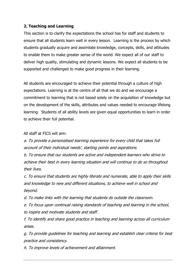#### 2. Teaching and Learning

This section is to clarify the expectations the school has for staff and students to ensure that all students learn well in every lesson. Learning is the process by which students gradually acquire and assimilate knowledge, concepts, skills, and attitudes to enable them to make greater sense of the world. We expect all of our staff to deliver high quality, stimulating and dynamic lessons. We expect all students to be supported and challenged to make good progress in their learning.

All students are encouraged to achieve their potential through a culture of high expectations. Learning is at the centre of all that we do and we encourage a commitment to learning that is not based solely on the acquisition of knowledge but on the development of the skills, attributes and values needed to encourage lifelong learning. Students of all ability levels are given equal opportunities to learn in order to achieve their full potential.

All staff at FICS will aim:

a. To provide a personalised learning experience for every child that takes full account of their individual needs', starting points and aspirations.

b. To ensure that our students are active and independent learners who strive to achieve their best in every learning situation and will continue to do so throughout their lives.

c. To ensure that students are highly literate and numerate, able to apply their skills and knowledge to new and different situations, to achieve well in school and beyond.

d. To make links with the learning that students do outside the classroom.

e. To focus upon continual raising standards of teaching and learning in the school, to inspire and motivate students and staff.

f. To identify and share good practice in teaching and learning across all curriculum areas.

g. To provide guidelines for teaching and learning and establish clear criteria for best practice and consistency.

h. To improve levels of achievement and attainment.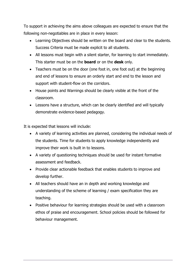To support in achieving the aims above colleagues are expected to ensure that the following non-negotiables are in place in every lesson:

- Learning Objectives should be written on the board and clear to the students. Success Criteria must be made explicit to all students.
- All lessons must begin with a silent starter, for learning to start immediately. This starter must be on the **board** or on the **desk** only.
- Teachers must be on the door (one foot in, one foot out) at the beginning and end of lessons to ensure an orderly start and end to the lesson and support with student-flow on the corridors.
- House points and Warnings should be clearly visible at the front of the classroom.
- Lessons have a structure, which can be clearly identified and will typically demonstrate evidence-based pedagogy.

It is expected that lessons will include:

- A variety of learning activities are planned, considering the individual needs of the students. Time for students to apply knowledge independently and improve their work is built in to lessons.
- A variety of questioning techniques should be used for instant formative assessment and feedback.
- Provide clear actionable feedback that enables students to improve and develop further.
- All teachers should have an in depth and working knowledge and understanding of the scheme of learning / exam specification they are teaching.
- Positive behaviour for learning strategies should be used with a classroom ethos of praise and encouragement. School policies should be followed for behaviour management.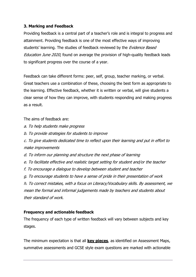#### 3. Marking and Feedback

Providing feedback is a central part of a teacher's role and is integral to progress and attainment. Providing feedback is one of the most effective ways of improving students' learning. The studies of feedback reviewed by the Evidence Based Education June 2020, found on average the provision of high-quality feedback leads to significant progress over the course of a year.

Feedback can take different forms: peer, self, group, teacher marking, or verbal. Great teachers use a combination of these, choosing the best form as appropriate to the learning. Effective feedback, whether it is written or verbal, will give students a clear sense of how they can improve, with students responding and making progress as a result.

The aims of feedback are:

- a. To help students make progress
- b. To provide strategies for students to improve

c. To give students dedicated time to reflect upon their learning and put in effort to make improvements

d. To inform our planning and structure the next phase of learning

- e. To facilitate effective and realistic target setting for student and/or the teacher
- f. To encourage a dialogue to develop between student and teacher
- g. To encourage students to have a sense of pride in their presentation of work

h. To correct mistakes, with a focus on Literacy/Vocabulary skills. By assessment, we mean the formal and informal judgements made by teachers and students about their standard of work.

#### Frequency and actionable feedback

The frequency of each type of written feedback will vary between subjects and key stages.

The minimum expectation is that all **key pieces**, as identified on Assessment Maps, summative assessments and GCSE style exam questions are marked with actionable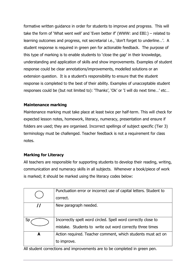formative written guidance in order for students to improve and progress. This will take the form of 'What went well' and 'Even better if' (WWW: and EBI:) – related to learning outcomes and progress, not secretarial i.e., 'don't forget to underline…'. A student response is required in green pen for actionable feedback. The purpose of this type of marking is to enable students to 'close the gap' in their knowledge, understanding and application of skills and show improvements. Examples of student response could be clear annotations/improvements, modelled solutions or an extension question. It is a student's responsibility to ensure that the student response is completed to the best of their ability. Examples of unacceptable student responses could be (but not limited to): 'Thanks', 'Ok' or 'I will do next time…' etc…

#### Maintenance marking

Maintenance marking must take place at least twice per half-term. This will check for expected lesson notes, homework, literacy, numeracy, presentation and ensure if folders are used; they are organised. Incorrect spellings of subject specific (Tier 3) terminology must be challenged. Teacher feedback is not a requirement for class notes.

#### Marking for Literacy

All teachers are responsible for supporting students to develop their reading, writing, communication and numeracy skills in all subjects. Whenever a book/piece of work is marked; it should be marked using the literacy codes below:

|                | Punctuation error or incorrect use of capital letters. Student to |
|----------------|-------------------------------------------------------------------|
|                | correct.                                                          |
| $\prime\prime$ | New paragraph needed.                                             |
|                |                                                                   |
| Sp             | Incorrectly spelt word circled. Spell word correctly close to     |
|                | mistake. Students to write out word correctly three times         |
| A              | Action required. Teacher comment, which students must act on      |
|                | to improve.                                                       |

All student corrections and improvements are to be completed in green pen.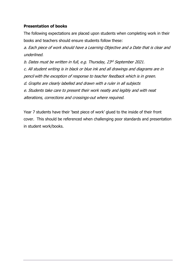#### Presentation of books

The following expectations are placed upon students when completing work in their books and teachers should ensure students follow these:

a. Each piece of work should have a Learning Objective and a Date that is clear and underlined.

b. Dates must be written in full, e.g. Thursday, 23<sup>rd</sup> September 2021.

c. All student writing is in black or blue ink and all drawings and diagrams are in

pencil with the exception of response to teacher feedback which is in green.

d. Graphs are clearly labelled and drawn with a ruler in all subjects

e. Students take care to present their work neatly and legibly and with neat

alterations, corrections and crossings-out where required.

Year 7 students have their 'best piece of work' glued to the inside of their front cover. This should be referenced when challenging poor standards and presentation in student work/books.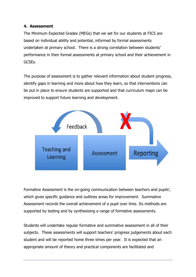#### 4. Assessment

The Minimum Expected Grades (MEGs) that we set for our students at FICS are based on individual ability and potential, informed by formal assessments undertaken at primary school. There is a strong correlation between students' performance in their formal assessments at primary school and their achievement in GCSEs.

The purpose of assessment is to gather relevant information about student progress, identify gaps in learning and more about how they learn, so that interventions can be put in place to ensure students are supported and that curriculum maps can be improved to support future learning and development.



Formative Assessment is the on-going communication between teachers and pupils', which gives specific guidance and outlines areas for improvement. Summative Assessment records the overall achievement of a pupil over time. Its methods are supported by testing and by synthesising a range of formative assessments.

Students will undertake regular formative and summative assessment in all of their subjects. These assessments will support teachers' progress judgements about each student and will be reported home three times per year. It is expected that an appropriate amount of theory and practical components are facilitated and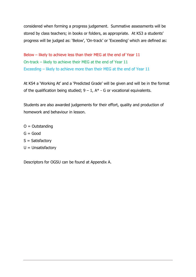considered when forming a progress judgement. Summative assessments will be stored by class teachers; in books or folders, as appropriate. At KS3 a students' progress will be judged as: 'Below', 'On-track' or 'Exceeding' which are defined as:

Below – likely to achieve less than their MEG at the end of Year 11 On-track – likely to achieve their MEG at the end of Year 11 Exceeding – likely to achieve more than their MEG at the end of Year 11

At KS4 a 'Working At' and a 'Predicted Grade' will be given and will be in the format of the qualification being studied;  $9 - 1$ ,  $A^*$  - G or vocational equivalents.

Students are also awarded judgements for their effort, quality and production of homework and behaviour in lesson.

- $O =$  Outstanding
- $G = Good$
- $S = Satisfactory$
- $U =$  Unsatisfactory

Descriptors for OGSU can be found at Appendix A.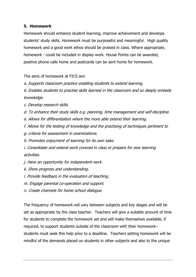#### 5. Homework

Homework should enhance student learning, improve achievement and develops students' study skills. Homework must be purposeful and meaningful. High quality homework and a good work ethos should be praised in class. Where appropriate, homework - could be included in display work. House Points can be awarded, positive phone calls home and postcards can be sent home for homework.

The aims of homework at FICS are:

a. Supports classroom practice enabling students to extend learning.

b. Enables students to practise skills learned in the classroom and so deeply embeds knowledge.

c. Develop research skills.

- d. To enhance their study skills e.g. planning, time management and self-discipline.
- e. Allows for differentiation where the more able extend their learning.
- f. Allows for the testing of knowledge and the practising of techniques pertinent to
- g. criteria for assessment in examinations.
- h. Promotes enjoyment of learning for its own sake.
- i. Consolidate and extend work covered in class or prepare for new learning activities.
- j. Have an opportunity for independent work.
- k. Show progress and understanding.
- l. Provide feedback in the evaluation of teaching.
- m. Engage parental co-operation and support.
- n. Create channels for home school dialogue.

The frequency of homework will vary between subjects and key stages and will be set as appropriate by the class teacher. Teachers will give a suitable amount of time for students to complete the homework set and will make themselves available, if required, to support students outside of the classroom with their homework– students must seek this help prior to a deadline. Teachers setting homework will be mindful of the demands placed on students in other subjects and also to the unique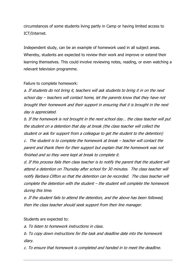circumstances of some students living partly in Camp or having limited access to ICT/Internet.

Independent study, can be an example of homework used in all subject areas. Whereby, students are expected to review their work and improve or extend their learning themselves. This could involve reviewing notes, reading, or even watching a relevant television programme.

Failure to complete homework:

a. If students do not bring it, teachers will ask students to bring it in on the next school day – teachers will contact home, let the parents know that they have not brought their homework and their support in ensuring that it is brought in the next day is appreciated.

b. If the homework is not brought in the next school day… the class teacher will put the student on a detention that day at break (the class teacher will collect the student or ask for support from a colleague to get the student to the detention) c. The student is to complete the homework at break – teacher will contact the parent and thank them for their support but explain that the homework was not finished and so they were kept at break to complete it.

d. If this process fails then class teacher is to notify the parent that the student will attend a detention on Thursday after school for 30 minutes. The class teacher will notify Barbara Clifton so that the detention can be recorded. The class teacher will complete the detention with the student – the student will complete the homework during this time.

e. If the student fails to attend the detention, and the above has been followed, then the class teacher should seek support from their line manager.

Students are expected to:

a. To listen to homework instructions in class.

b. To copy down instructions for the task and deadline date into the homework diary.

c. To ensure that homework is completed and handed in to meet the deadline.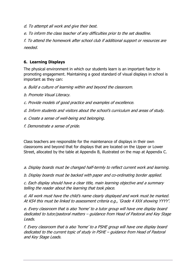- d. To attempt all work and give their best.
- e. To inform the class teacher of any difficulties prior to the set deadline.

f. To attend the homework after school club if additional support or resources are needed.

#### 6. Learning Displays

The physical environment in which our students learn is an important factor in promoting engagement. Maintaining a good standard of visual displays in school is important as they can:

- a. Build a culture of learning within and beyond the classroom.
- b. Promote Visual Literacy.
- c. Provide models of good practice and examples of excellence.
- d. Inform students and visitors about the school's curriculum and areas of study.
- e. Create a sense of well-being and belonging.
- f. Demonstrate a sense of pride.

Class teachers are responsible for the maintenance of displays in their own classrooms and beyond that for displays that are located on the Upper or Lower Street, allocated by the table at Appendix B, illustrated on the map at Appendix C.

a. Display boards must be changed half-termly to reflect current work and learning.

b. Display boards must be backed with paper and co-ordinating border applied.

c. Each display should have a clear title, main learning objective and a summary telling the reader about the learning that took place.

d. All work must have the child's name clearly displayed and work must be marked. At KS4 this must be linked to assessment criteria e.g., 'Grade 4 XXX showing YYYY'.

e. Every classroom that is also 'home' to a tutor group will have one display board dedicated to tutor/pastoral matters – guidance from Head of Pastoral and Key Stage Leads.

f. Every classroom that is also 'home' to a PSHE group will have one display board dedicated to the current topic of study in PSHE – guidance from Head of Pastoral and Key Stage Leads.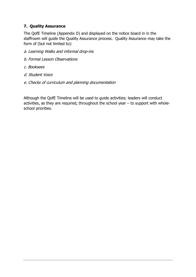### 7. Quality Assurance

The QofE Timeline (Appendix D) and displayed on the notice board in in the staffroom will guide the Quality Assurance process. Quality Assurance may take the form of (but not limited to):

- a. Learning Walks and informal drop-ins
- b. Formal Lesson Observations
- c. Booksees
- d. Student Voice
- e. Checks of curriculum and planning documentation

Although the QofE Timeline will be used to guide activities; leaders will conduct activities, as they are required, throughout the school year – to support with wholeschool priorities.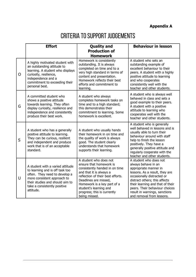Appendix A

# Criteria to support judgements

|        | <b>Effort</b>                                                                                                                                                                                                       | <b>Quality and</b>                                                                                                                                                                                                                                                                    | <b>Behaviour in lesson</b>                                                                                                                                                                                                                                                                                  |  |
|--------|---------------------------------------------------------------------------------------------------------------------------------------------------------------------------------------------------------------------|---------------------------------------------------------------------------------------------------------------------------------------------------------------------------------------------------------------------------------------------------------------------------------------|-------------------------------------------------------------------------------------------------------------------------------------------------------------------------------------------------------------------------------------------------------------------------------------------------------------|--|
|        |                                                                                                                                                                                                                     | <b>Production of</b><br><b>Homework</b>                                                                                                                                                                                                                                               |                                                                                                                                                                                                                                                                                                             |  |
| O      | A highly motivated student with<br>an outstanding attitude to<br>learning. A student who displays<br>curiosity, resilience,<br>independence and a<br>commitment to exceeding their<br>personal best.                | Homework is consistently<br>outstanding. It is always<br>completed on time and to a<br>very high standard in terms of<br>content and presentation.<br>Homework reflects their best<br>efforts and commitment to<br>learning.                                                          | A student who sets an<br>outstanding example of<br>excellent behaviour to their<br>peers. A student with a highly<br>positive attitude to learning<br>and who cooperates<br>consistently well with the<br>teacher and other students.                                                                       |  |
| G      | A committed student who<br>shows a positive attitude<br>towards learning. They often<br>display curiosity, resilience and<br>independence and consistently<br>produce their best work.                              | A student who always<br>completes homework tasks on<br>time and to a high standard;<br>this demonstrates their<br>commitment to learning. Some<br>homework is excellent.                                                                                                              | A student who is always well<br>behaved in class and sets a<br>good example to their peers.<br>A student with a positive<br>attitude to learning who<br>cooperates well with the<br>teacher and other students.                                                                                             |  |
| S      | A student who has a generally<br>positive attitude to learning.<br>They can be curious, resilient<br>and independent and produce<br>work that is of an acceptable<br>standard.                                      | A student who usually hands<br>their homework in on time and<br>the quality of work is always<br>good. The student clearly<br>understands that homework<br>supports their learning.                                                                                                   | A student who is generally<br>well behaved in lessons and is<br>usually able to turn their<br>behaviour around with staff<br>help to finish the lesson<br>positively. They have a<br>generally positive attitude and<br>regularly cooperate with the<br>teacher and other students.                         |  |
| $\cup$ | A student with a varied attitude<br>to learning and is off task too<br>often. They need to develop a<br>more consistent approach to<br>their studies and should aim to<br>take a consistently positive<br>attitude. | A student who does not<br>ensure that homework is<br>consistently handed in on time<br>and that it is always a<br>reflection of their best efforts.<br>Deadlines are missed,<br>Homework is a key part of a<br>student's learning and<br>progress; this is currently<br>being missed. | A student who does not<br>always behave in an<br>appropriate manner in<br>lessons. As a result, they are<br>occasionally distracted or<br>distract others; this affects<br>their learning and that of their<br>peers. Their behaviour choices<br>result in warnings, sanctions<br>and removal from lessons. |  |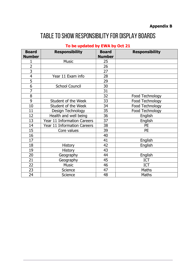# Table to show responsibility for display boards

| <b>Board</b><br><b>Number</b> | <b>Responsibility</b>       | <b>Board</b><br><b>Number</b> | <b>Responsibility</b> |
|-------------------------------|-----------------------------|-------------------------------|-----------------------|
| 1                             | <b>Music</b>                |                               |                       |
| $\overline{2}$                |                             | 26                            |                       |
| $\overline{3}$                |                             | 27                            |                       |
| 4                             | Year 11 Exam info           | 28                            |                       |
| 5                             |                             | 29                            |                       |
| 6                             | <b>School Council</b>       | 30                            |                       |
| $\overline{7}$                |                             | 31                            |                       |
| 8                             |                             | 32                            | Food Technology       |
| 9                             | Student of the Week         | 33                            | Food Technology       |
| 10                            | <b>Student of the Week</b>  | 34                            | Food Technology       |
| 11                            | Design Technology           | 35                            | Food Technology       |
| 12                            | Health and well being       | 36                            | English               |
| 13                            | Year 11 Information Careers | 37                            | English               |
| 14                            | Year 11 Information Careers | 38                            | <b>PE</b>             |
| 15                            | Core values                 | 39                            | <b>PE</b>             |
| 16                            |                             | 40                            |                       |
| 17                            |                             | 41                            | English               |
| 18                            | <b>History</b>              | 42                            | English               |
| 19                            | <b>History</b>              | 43                            |                       |
| 20                            | Geography                   | 44                            | English               |
| 21                            | Geography                   | 45                            | <b>ICT</b>            |
| 22                            | <b>Music</b>                | 46                            | ICT                   |
| 23                            | Science                     | 47                            | Maths                 |
| 24                            | Science                     | 48                            | Maths                 |

### To be updated by EWA by Oct 21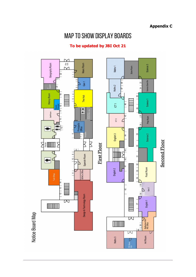## Map to show display boards

### To be updated by JBI Oct 21

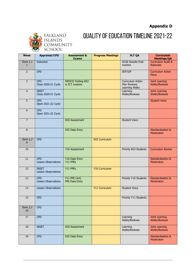#### Appendix D



# Quality of Education Timeline 2021-22

Week | Appraisal/CPD | Assessment & Exams Progress Meetings SLT QA Curriculum Meetings/QA Term 1.1 1 **Induction GCSE Results Post**mortem Curriculum Audit & Rationale 2 CPD Curriculum Action Plans 3 CPD Close 2020-21 Cycle MIDYIS Testing KS3 in ICT Lessons Curriculum Action Plan Reviews Learning Walks Joint Learning Walks/Booksee 4 INSET Close 2020-21 Cycle Learning Walks/Booksee Joint Learning Walks/Booksee 5 CPD Open 2021-22 Cycle Student Voice 6 CPD Open 2021-22 Cycle **7** Student Voice **KS3 Assessment** Student Voice 8 KS3 Data Entry Standardisation & Moderation Term 1.2 9 **CPD** KS3 Curriculum 10 Y10 Assessment Priority KS3 Students Curriculum Review 11 CPD Lesson Observations Y10 Data Entry Y11 PPEs Standardisation & Moderation 12 INSET Lesson Observations Y11 PPEs Y10 Curriculum 13 CPD Lesson Observations Y11 PPE (Art) PPE Data Entry Priority Y10 Students Standardisation & Moderation 14 Lesson Observations **Y11 Curriculum** Student Voice extending to the CPD extending the contract of the Priority Y11 Students Term 2.1 16 **CPD** 17 CPD **CPD Learning** Walks/Booksee Joint Learning Walks/Booksee 18 INSET KS3 Assessment Learning Walks/Booksee Joint Learning Walks/Booksee 19 CPD KS3 Data Entry Standardisation & Moderation